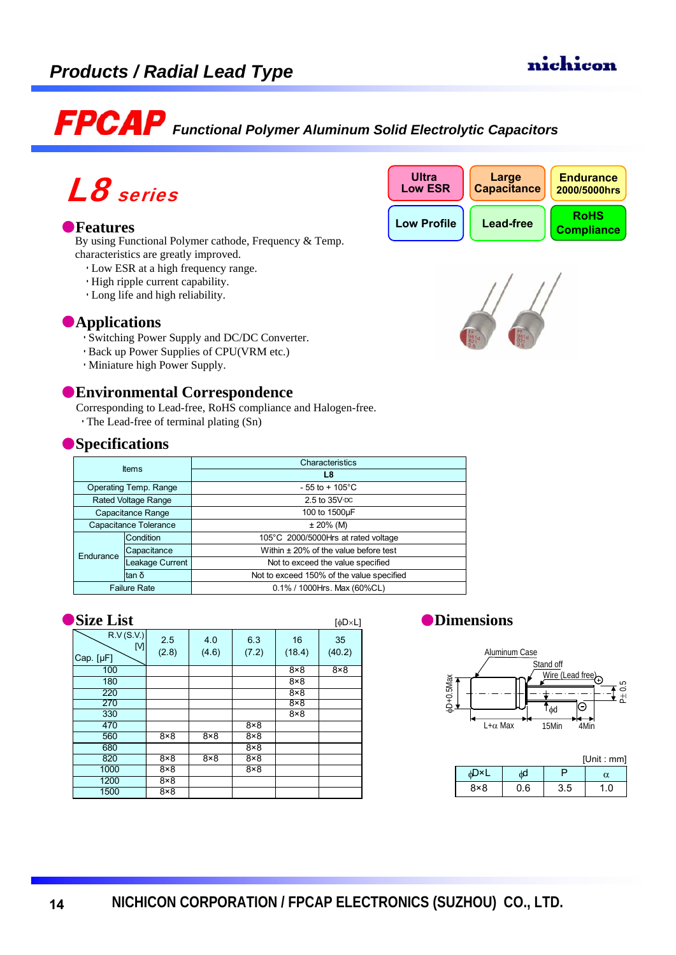# *Functional Polymer Aluminum Solid Electrolytic Capacitors*

# L8 series

#### **D**Features

By using Functional Polymer cathode, Frequency & Temp. characteristics are greatly improved.

- Low ESR at a high frequency range.
- High ripple current capability.
- Long life and high reliability.

### **•Applications**

- Switching Power Supply and DC/DC Converter.
- Back up Power Supplies of CPU(VRM etc.)
- Miniature high Power Supply.

#### $\bullet$  **Environmental Correspondence**

Corresponding to Lead-free, RoHS compliance and Halogen-free.

The Lead-free of terminal plating (Sn)

# **Specifications**

| <b>Items</b>               |                 | Characteristics                           |  |  |
|----------------------------|-----------------|-------------------------------------------|--|--|
|                            |                 | L8                                        |  |  |
| Operating Temp. Range      |                 | $-55$ to $+105^{\circ}$ C                 |  |  |
| <b>Rated Voltage Range</b> |                 | $2.5$ to $35V$ DC                         |  |  |
| Capacitance Range          |                 | 100 to 1500µF                             |  |  |
| Capacitance Tolerance      |                 | $± 20\%$ (M)                              |  |  |
| Endurance                  | Condition       | 105°C 2000/5000Hrs at rated voltage       |  |  |
|                            | Capacitance     | Within $\pm$ 20% of the value before test |  |  |
|                            | Leakage Current | Not to exceed the value specified         |  |  |
|                            | tan δ           | Not to exceed 150% of the value specified |  |  |
| <b>Failure Rate</b>        |                 | 0.1% / 1000 Hrs. Max (60% CL)             |  |  |

#### **Size List** [<sub>φD×L]</sub>

| DIDU LIDU<br>ιψ⊃∧∟           |              |              |              |              |              |
|------------------------------|--------------|--------------|--------------|--------------|--------------|
| R.V (S.V.)<br>M<br>Cap. [µF] | 2.5<br>(2.8) | 4.0<br>(4.6) | 6.3<br>(7.2) | 16<br>(18.4) | 35<br>(40.2) |
| 100                          |              |              |              | $8\times8$   | $8\times8$   |
| 180                          |              |              |              | $8\times8$   |              |
| 220                          |              |              |              | $8\times8$   |              |
| 270                          |              |              |              | $8\times8$   |              |
| 330                          |              |              |              | $8\times8$   |              |
| 470                          |              |              | $8\times8$   |              |              |
| 560                          | $8\times8$   | $8\times8$   | $8\times8$   |              |              |
| 680                          |              |              | $8\times8$   |              |              |
| 820                          | $8\times8$   | $8\times8$   | $8\times8$   |              |              |
| 1000                         | $8\times8$   |              | $8\times8$   |              |              |
| 1200                         | $8\times8$   |              |              |              |              |
| 1500                         | $8\times8$   |              |              |              |              |

#### $\bullet$  Dimensions



| [Unit : mm] |     |     |     |  |
|-------------|-----|-----|-----|--|
| ሐD×Լ        | ٨d  |     | α   |  |
| $8\times8$  | 0.6 | 3.5 | 1.0 |  |